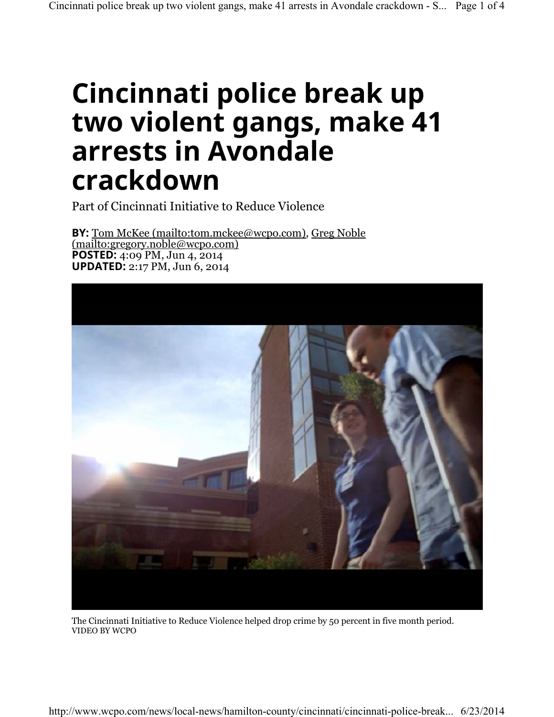## **Cincinnati police break up two violent gangs, make 41 arrests in Avondale crackdown**

Part of Cincinnati Initiative to Reduce Violence

**BY:** Tom McKee (mailto:tom.mckee@wcpo.com), Greg Noble (mailto:gregory.noble@wcpo.com) **POSTED:** 4:09 PM, Jun 4, 2014 **UPDATED:** 2:17 PM, Jun 6, 2014



VIDEO BY WCPO The Cincinnati Initiative to Reduce Violence helped drop crime by 50 percent in five month period.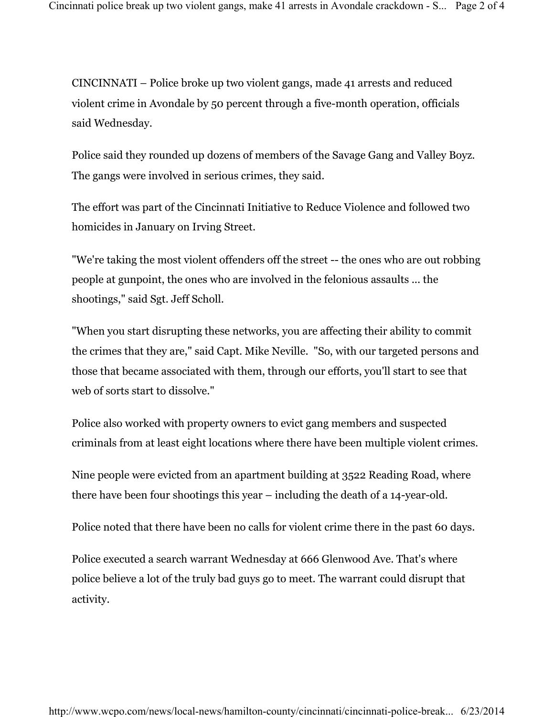CINCINNATI – Police broke up two violent gangs, made 41 arrests and reduced violent crime in Avondale by 50 percent through a five-month operation, officials said Wednesday.

Police said they rounded up dozens of members of the Savage Gang and Valley Boyz. The gangs were involved in serious crimes, they said.

The effort was part of the Cincinnati Initiative to Reduce Violence and followed two homicides in January on Irving Street.

"We're taking the most violent offenders off the street -- the ones who are out robbing people at gunpoint, the ones who are involved in the felonious assaults ... the shootings," said Sgt. Jeff Scholl.

"When you start disrupting these networks, you are affecting their ability to commit the crimes that they are," said Capt. Mike Neville. "So, with our targeted persons and those that became associated with them, through our efforts, you'll start to see that web of sorts start to dissolve."

Police also worked with property owners to evict gang members and suspected criminals from at least eight locations where there have been multiple violent crimes.

Nine people were evicted from an apartment building at 3522 Reading Road, where there have been four shootings this year – including the death of a 14-year-old.

Police noted that there have been no calls for violent crime there in the past 60 days.

Police executed a search warrant Wednesday at 666 Glenwood Ave. That's where police believe a lot of the truly bad guys go to meet. The warrant could disrupt that activity.